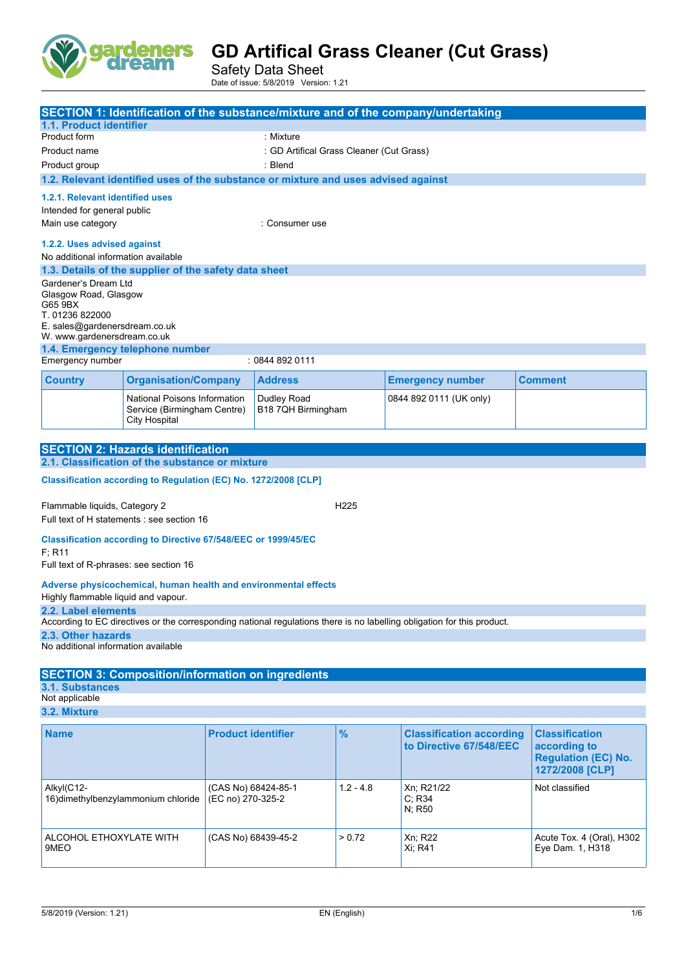

Safety Data Sheet Date of issue: 5/8/2019 Version: 1.21

| SECTION 1: Identification of the substance/mixture and of the company/undertaking                   |                                     |                                          |                     |                  |                                                                                                                         |                            |
|-----------------------------------------------------------------------------------------------------|-------------------------------------|------------------------------------------|---------------------|------------------|-------------------------------------------------------------------------------------------------------------------------|----------------------------|
|                                                                                                     |                                     |                                          |                     |                  |                                                                                                                         |                            |
| 1.1. Product identifier<br>Product form                                                             |                                     |                                          | : Mixture           |                  |                                                                                                                         |                            |
|                                                                                                     |                                     | : GD Artifical Grass Cleaner (Cut Grass) |                     |                  |                                                                                                                         |                            |
| Product name                                                                                        |                                     |                                          | : Blend             |                  |                                                                                                                         |                            |
| Product group<br>1.2. Relevant identified uses of the substance or mixture and uses advised against |                                     |                                          |                     |                  |                                                                                                                         |                            |
|                                                                                                     |                                     |                                          |                     |                  |                                                                                                                         |                            |
| 1.2.1. Relevant identified uses                                                                     |                                     |                                          |                     |                  |                                                                                                                         |                            |
| Intended for general public                                                                         |                                     |                                          |                     |                  |                                                                                                                         |                            |
| Main use category                                                                                   |                                     |                                          | : Consumer use      |                  |                                                                                                                         |                            |
| 1.2.2. Uses advised against                                                                         |                                     |                                          |                     |                  |                                                                                                                         |                            |
| No additional information available                                                                 |                                     |                                          |                     |                  |                                                                                                                         |                            |
| 1.3. Details of the supplier of the safety data sheet                                               |                                     |                                          |                     |                  |                                                                                                                         |                            |
| Gardener's Dream Ltd                                                                                |                                     |                                          |                     |                  |                                                                                                                         |                            |
| Glasgow Road, Glasgow<br>G65 9BX                                                                    |                                     |                                          |                     |                  |                                                                                                                         |                            |
| T. 01236 822000                                                                                     |                                     |                                          |                     |                  |                                                                                                                         |                            |
| E. sales@gardenersdream.co.uk                                                                       |                                     |                                          |                     |                  |                                                                                                                         |                            |
| W. www.gardenersdream.co.uk                                                                         |                                     |                                          |                     |                  |                                                                                                                         |                            |
| 1.4. Emergency telephone number<br>Emergency number                                                 |                                     |                                          | : 0844 892 0111     |                  |                                                                                                                         |                            |
|                                                                                                     |                                     |                                          |                     |                  |                                                                                                                         |                            |
| <b>Country</b>                                                                                      | <b>Organisation/Company</b>         |                                          | <b>Address</b>      |                  | <b>Emergency number</b>                                                                                                 | <b>Comment</b>             |
|                                                                                                     | National Poisons Information        |                                          | Dudley Road         |                  | 0844 892 0111 (UK only)                                                                                                 |                            |
|                                                                                                     | Service (Birmingham Centre)         |                                          | B18 7QH Birmingham  |                  |                                                                                                                         |                            |
|                                                                                                     | <b>City Hospital</b>                |                                          |                     |                  |                                                                                                                         |                            |
|                                                                                                     |                                     |                                          |                     |                  |                                                                                                                         |                            |
| <b>SECTION 2: Hazards identification</b><br>2.1. Classification of the substance or mixture         |                                     |                                          |                     |                  |                                                                                                                         |                            |
|                                                                                                     |                                     |                                          |                     |                  |                                                                                                                         |                            |
| Classification according to Regulation (EC) No. 1272/2008 [CLP]                                     |                                     |                                          |                     |                  |                                                                                                                         |                            |
| Flammable liquids, Category 2                                                                       |                                     |                                          |                     | H <sub>225</sub> |                                                                                                                         |                            |
| Full text of H statements : see section 16                                                          |                                     |                                          |                     |                  |                                                                                                                         |                            |
|                                                                                                     |                                     |                                          |                     |                  |                                                                                                                         |                            |
| Classification according to Directive 67/548/EEC or 1999/45/EC                                      |                                     |                                          |                     |                  |                                                                                                                         |                            |
| F: R11                                                                                              |                                     |                                          |                     |                  |                                                                                                                         |                            |
| Full text of R-phrases: see section 16                                                              |                                     |                                          |                     |                  |                                                                                                                         |                            |
| Adverse physicochemical, human health and environmental effects                                     |                                     |                                          |                     |                  |                                                                                                                         |                            |
| Highly flammable liquid and vapour.                                                                 |                                     |                                          |                     |                  |                                                                                                                         |                            |
| 2.2. Label elements                                                                                 |                                     |                                          |                     |                  |                                                                                                                         |                            |
|                                                                                                     |                                     |                                          |                     |                  | According to EC directives or the corresponding national regulations there is no labelling obligation for this product. |                            |
| 2.3. Other hazards<br>No additional information available                                           |                                     |                                          |                     |                  |                                                                                                                         |                            |
|                                                                                                     |                                     |                                          |                     |                  |                                                                                                                         |                            |
| <b>SECTION 3: Composition/information on ingredients</b>                                            |                                     |                                          |                     |                  |                                                                                                                         |                            |
| 3.1. Substances                                                                                     |                                     |                                          |                     |                  |                                                                                                                         |                            |
| Not applicable                                                                                      |                                     |                                          |                     |                  |                                                                                                                         |                            |
| 3.2. Mixture                                                                                        |                                     |                                          |                     |                  |                                                                                                                         |                            |
| <b>Name</b>                                                                                         |                                     | <b>Product identifier</b>                |                     | $\frac{9}{6}$    | <b>Classification according</b>                                                                                         | <b>Classification</b>      |
|                                                                                                     |                                     |                                          |                     |                  | to Directive 67/548/EEC                                                                                                 | according to               |
|                                                                                                     |                                     |                                          |                     |                  |                                                                                                                         | <b>Regulation (EC) No.</b> |
|                                                                                                     |                                     |                                          |                     |                  |                                                                                                                         | 1272/2008 [CLP]            |
| Alkyl(C12-                                                                                          |                                     |                                          | (CAS No) 68424-85-1 | $1.2 - 4.8$      | Xn; R21/22                                                                                                              | Not classified             |
|                                                                                                     | 16) dimethylbenzylammonium chloride | (EC no) 270-325-2                        |                     |                  | C; R34                                                                                                                  |                            |
|                                                                                                     | N; R50                              |                                          |                     |                  |                                                                                                                         |                            |
|                                                                                                     |                                     |                                          |                     |                  |                                                                                                                         |                            |
| ALCOHOL ETHOXYLATE WITH                                                                             |                                     |                                          | (CAS No) 68439-45-2 | > 0.72           | Xn; R22                                                                                                                 | Acute Tox. 4 (Oral), H302  |
| 9MEO                                                                                                |                                     |                                          |                     |                  | Xi; R41                                                                                                                 | Eye Dam. 1, H318           |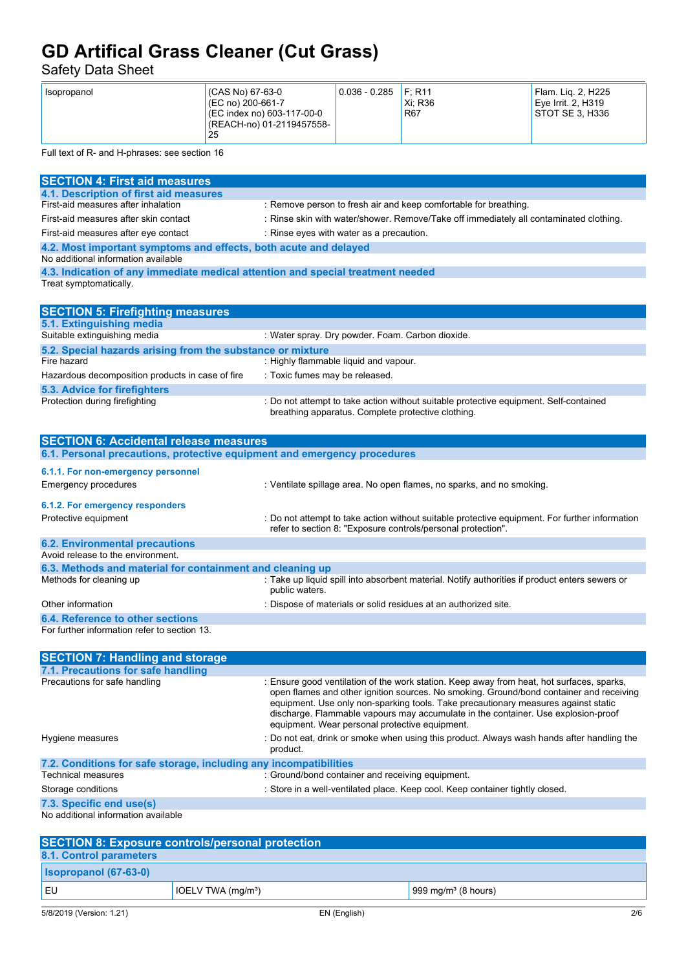Safety Data Sheet

Full text of R- and H-phrases: see section 16

| <b>SECTION 4: First aid measures</b>                                            |                                                                                                                                             |  |  |
|---------------------------------------------------------------------------------|---------------------------------------------------------------------------------------------------------------------------------------------|--|--|
| 4.1. Description of first aid measures                                          |                                                                                                                                             |  |  |
| First-aid measures after inhalation                                             | : Remove person to fresh air and keep comfortable for breathing.                                                                            |  |  |
| First-aid measures after skin contact                                           | : Rinse skin with water/shower. Remove/Take off immediately all contaminated clothing.                                                      |  |  |
| First-aid measures after eye contact                                            | : Rinse eyes with water as a precaution.                                                                                                    |  |  |
| 4.2. Most important symptoms and effects, both acute and delayed                |                                                                                                                                             |  |  |
| No additional information available                                             |                                                                                                                                             |  |  |
| 4.3. Indication of any immediate medical attention and special treatment needed |                                                                                                                                             |  |  |
| Treat symptomatically.                                                          |                                                                                                                                             |  |  |
|                                                                                 |                                                                                                                                             |  |  |
| <b>SECTION 5: Firefighting measures</b>                                         |                                                                                                                                             |  |  |
| 5.1. Extinguishing media                                                        |                                                                                                                                             |  |  |
| Suitable extinguishing media                                                    | : Water spray. Dry powder. Foam. Carbon dioxide.                                                                                            |  |  |
| 5.2. Special hazards arising from the substance or mixture                      |                                                                                                                                             |  |  |
| Fire hazard                                                                     | : Highly flammable liquid and vapour.                                                                                                       |  |  |
| Hazardous decomposition products in case of fire                                | : Toxic fumes may be released.                                                                                                              |  |  |
| <b>5.3. Advice for firefighters</b>                                             |                                                                                                                                             |  |  |
| Protection during firefighting                                                  | : Do not attempt to take action without suitable protective equipment. Self-contained<br>breathing apparatus. Complete protective clothing. |  |  |
|                                                                                 |                                                                                                                                             |  |  |
| <b>SECTION 6: Accidental release measures</b>                                   |                                                                                                                                             |  |  |
| 6.1. Personal precautions, protective equipment and emergency procedures        |                                                                                                                                             |  |  |

| 6.1.1. For non-emergency personnel                        |                                                                                                                                                                |  |  |
|-----------------------------------------------------------|----------------------------------------------------------------------------------------------------------------------------------------------------------------|--|--|
| Emergency procedures                                      | : Ventilate spillage area. No open flames, no sparks, and no smoking.                                                                                          |  |  |
| 6.1.2. For emergency responders                           |                                                                                                                                                                |  |  |
| Protective equipment                                      | : Do not attempt to take action without suitable protective equipment. For further information<br>refer to section 8. "Exposure controls/personal protection". |  |  |
| <b>6.2. Environmental precautions</b>                     |                                                                                                                                                                |  |  |
| Avoid release to the environment.                         |                                                                                                                                                                |  |  |
| 6.3. Methods and material for containment and cleaning up |                                                                                                                                                                |  |  |
| Methods for cleaning up                                   | : Take up liquid spill into absorbent material. Notify authorities if product enters sewers or<br>public waters.                                               |  |  |
| Other information                                         | : Dispose of materials or solid residues at an authorized site.                                                                                                |  |  |
| 6.4. Reference to other sections                          |                                                                                                                                                                |  |  |
| For further information refer to section 13.              |                                                                                                                                                                |  |  |

| <b>SECTION 7: Handling and storage</b>                            |                                                                                                                                                                                                                                                                                                                                                                                                                   |  |
|-------------------------------------------------------------------|-------------------------------------------------------------------------------------------------------------------------------------------------------------------------------------------------------------------------------------------------------------------------------------------------------------------------------------------------------------------------------------------------------------------|--|
| 7.1. Precautions for safe handling                                |                                                                                                                                                                                                                                                                                                                                                                                                                   |  |
| Precautions for safe handling                                     | : Ensure good ventilation of the work station. Keep away from heat, hot surfaces, sparks,<br>open flames and other ignition sources. No smoking. Ground/bond container and receiving<br>equipment. Use only non-sparking tools. Take precautionary measures against static<br>discharge. Flammable vapours may accumulate in the container. Use explosion-proof<br>equipment. Wear personal protective equipment. |  |
| Hygiene measures                                                  | : Do not eat, drink or smoke when using this product. Always wash hands after handling the<br>product.                                                                                                                                                                                                                                                                                                            |  |
| 7.2. Conditions for safe storage, including any incompatibilities |                                                                                                                                                                                                                                                                                                                                                                                                                   |  |
| Technical measures                                                | : Ground/bond container and receiving equipment.                                                                                                                                                                                                                                                                                                                                                                  |  |
| Storage conditions                                                | : Store in a well-ventilated place. Keep cool. Keep container tightly closed.                                                                                                                                                                                                                                                                                                                                     |  |
| 7.3. Specific end use(s)                                          |                                                                                                                                                                                                                                                                                                                                                                                                                   |  |

No additional information available

| <b>SECTION 8: Exposure controls/personal protection</b> |                     |                                 |     |
|---------------------------------------------------------|---------------------|---------------------------------|-----|
| 8.1. Control parameters                                 |                     |                                 |     |
| <b>Isopropanol (67-63-0)</b>                            |                     |                                 |     |
| EU                                                      | IOELV TWA $(mq/m3)$ | 999 mg/m <sup>3</sup> (8 hours) |     |
| 5/8/2019 (Version: 1.21)                                | EN (English)        |                                 | 2/6 |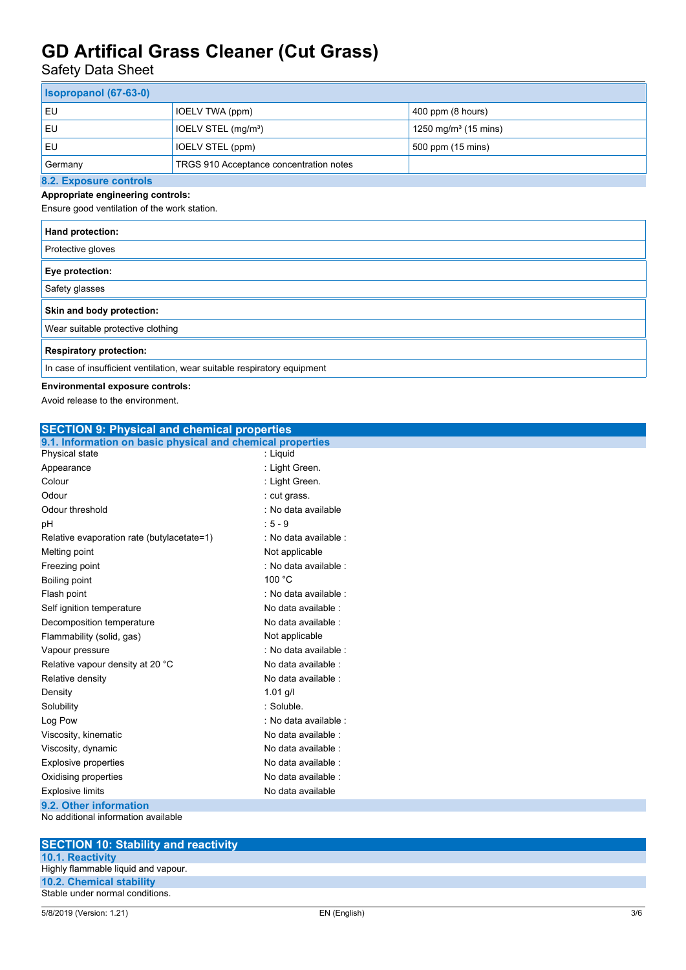Safety Data Sheet

| <b>Isopropanol (67-63-0)</b> |                                         |                                  |  |
|------------------------------|-----------------------------------------|----------------------------------|--|
| EU                           | IOELV TWA (ppm)                         | $400$ ppm (8 hours)              |  |
| EU                           | IOELV STEL (mg/m <sup>3</sup> )         | 1250 mg/m <sup>3</sup> (15 mins) |  |
| EU                           | IOELV STEL (ppm)                        | 500 ppm (15 mins)                |  |
| Germany                      | TRGS 910 Acceptance concentration notes |                                  |  |
| 0.0 Evening controls         |                                         |                                  |  |

### **8.2. Exposure controls**

**Appropriate engineering controls:** Ensure good ventilation of the work station.

| Hand protection:                                                         |
|--------------------------------------------------------------------------|
| Protective gloves                                                        |
| Eye protection:                                                          |
| Safety glasses                                                           |
| Skin and body protection:                                                |
| Wear suitable protective clothing                                        |
| <b>Respiratory protection:</b>                                           |
| In case of insufficient ventilation, wear suitable respiratory equipment |

### **Environmental exposure controls:**

Avoid release to the environment.

| <b>SECTION 9: Physical and chemical properties</b>         |                       |  |
|------------------------------------------------------------|-----------------------|--|
| 9.1. Information on basic physical and chemical properties |                       |  |
| Physical state                                             | : Liquid              |  |
| Appearance                                                 | : Light Green.        |  |
| Colour                                                     | : Light Green.        |  |
| Odour                                                      | : cut grass.          |  |
| Odour threshold                                            | : No data available   |  |
| pH                                                         | $: 5 - 9$             |  |
| Relative evaporation rate (butylacetate=1)                 | : No data available : |  |
| Melting point                                              | Not applicable        |  |
| Freezing point                                             | : No data available : |  |
| Boiling point                                              | 100 °C                |  |
| Flash point                                                | : No data available : |  |
| Self ignition temperature                                  | No data available :   |  |
| Decomposition temperature                                  | No data available :   |  |
| Flammability (solid, gas)                                  | Not applicable        |  |
| Vapour pressure                                            | : No data available : |  |
| Relative vapour density at 20 °C                           | No data available :   |  |
| Relative density                                           | No data available :   |  |
| Density                                                    | $1.01$ g/l            |  |
| Solubility                                                 | : Soluble.            |  |
| Log Pow                                                    | : No data available : |  |
| Viscosity, kinematic                                       | No data available :   |  |
| Viscosity, dynamic                                         | No data available :   |  |
| <b>Explosive properties</b>                                | No data available :   |  |
| Oxidising properties                                       | No data available :   |  |
| <b>Explosive limits</b>                                    | No data available     |  |
| 9.2. Other information                                     |                       |  |
| No additional information available                        |                       |  |

**SECTION 10: Stability and reactivity**

| <b>10.1. Reactivity</b>             |
|-------------------------------------|
| Highly flammable liquid and vapour. |
| <b>10.2. Chemical stability</b>     |
| Stable under normal conditions.     |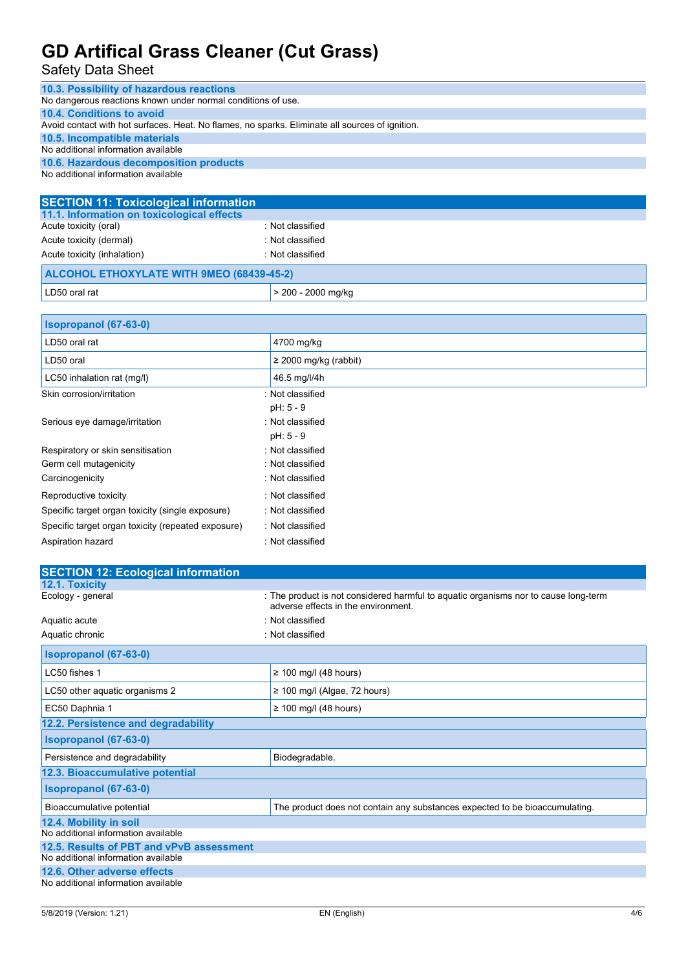### Safety Data Sheet

| 10.3. Possibility of hazardous reactions                                                        |                    |  |
|-------------------------------------------------------------------------------------------------|--------------------|--|
| No dangerous reactions known under normal conditions of use.                                    |                    |  |
| 10.4. Conditions to avoid                                                                       |                    |  |
| Avoid contact with hot surfaces. Heat. No flames, no sparks. Eliminate all sources of ignition. |                    |  |
| 10.5. Incompatible materials                                                                    |                    |  |
| No additional information available                                                             |                    |  |
| 10.6. Hazardous decomposition products                                                          |                    |  |
| No additional information available                                                             |                    |  |
|                                                                                                 |                    |  |
| <b>SECTION 11: Toxicological information</b>                                                    |                    |  |
| 11.1. Information on toxicological effects                                                      |                    |  |
| Acute toxicity (oral)                                                                           | : Not classified   |  |
| Acute toxicity (dermal)                                                                         | : Not classified   |  |
| Acute toxicity (inhalation)                                                                     | : Not classified   |  |
| ALCOHOL ETHOXYLATE WITH 9MEO (68439-45-2)                                                       |                    |  |
| LD50 oral rat                                                                                   | > 200 - 2000 mg/kg |  |

| Isopropanol (67-63-0)                              |                            |
|----------------------------------------------------|----------------------------|
| LD50 oral rat                                      | 4700 mg/kg                 |
| LD50 oral                                          | $\geq$ 2000 mg/kg (rabbit) |
| LC50 inhalation rat (mg/l)                         | 46.5 mg/l/4h               |
| Skin corrosion/irritation                          | : Not classified           |
|                                                    | $pH: 5 - 9$                |
| Serious eye damage/irritation                      | : Not classified           |
|                                                    | $pH: 5 - 9$                |
| Respiratory or skin sensitisation                  | : Not classified           |
| Germ cell mutagenicity                             | : Not classified           |
| Carcinogenicity                                    | : Not classified           |
| Reproductive toxicity                              | : Not classified           |
| Specific target organ toxicity (single exposure)   | : Not classified           |
| Specific target organ toxicity (repeated exposure) | : Not classified           |
| Aspiration hazard                                  | : Not classified           |

| <b>SECTION 12: Ecological information</b> |                                                                                                                            |  |
|-------------------------------------------|----------------------------------------------------------------------------------------------------------------------------|--|
| 12.1. Toxicity                            |                                                                                                                            |  |
| Ecology - general                         | : The product is not considered harmful to aquatic organisms nor to cause long-term<br>adverse effects in the environment. |  |
| Aquatic acute                             | : Not classified                                                                                                           |  |
| Aquatic chronic                           | : Not classified                                                                                                           |  |
| Isopropanol (67-63-0)                     |                                                                                                                            |  |
| LC50 fishes 1                             | $\geq$ 100 mg/l (48 hours)                                                                                                 |  |
| LC50 other aquatic organisms 2            | $\geq$ 100 mg/l (Algae, 72 hours)                                                                                          |  |
| EC50 Daphnia 1                            | $\geq$ 100 mg/l (48 hours)                                                                                                 |  |
| 12.2. Persistence and degradability       |                                                                                                                            |  |
| <b>Isopropanol</b> (67-63-0)              |                                                                                                                            |  |
| Persistence and degradability             | Biodegradable.                                                                                                             |  |
| 12.3. Bioaccumulative potential           |                                                                                                                            |  |
| Isopropanol (67-63-0)                     |                                                                                                                            |  |
| Bioaccumulative potential                 | The product does not contain any substances expected to be bioaccumulating.                                                |  |
| 12.4. Mobility in soil                    |                                                                                                                            |  |
| No additional information available       |                                                                                                                            |  |
| 12.5. Results of PBT and vPvB assessment  |                                                                                                                            |  |
| No additional information available       |                                                                                                                            |  |
| 12.6. Other adverse effects               |                                                                                                                            |  |
| No additional information available       |                                                                                                                            |  |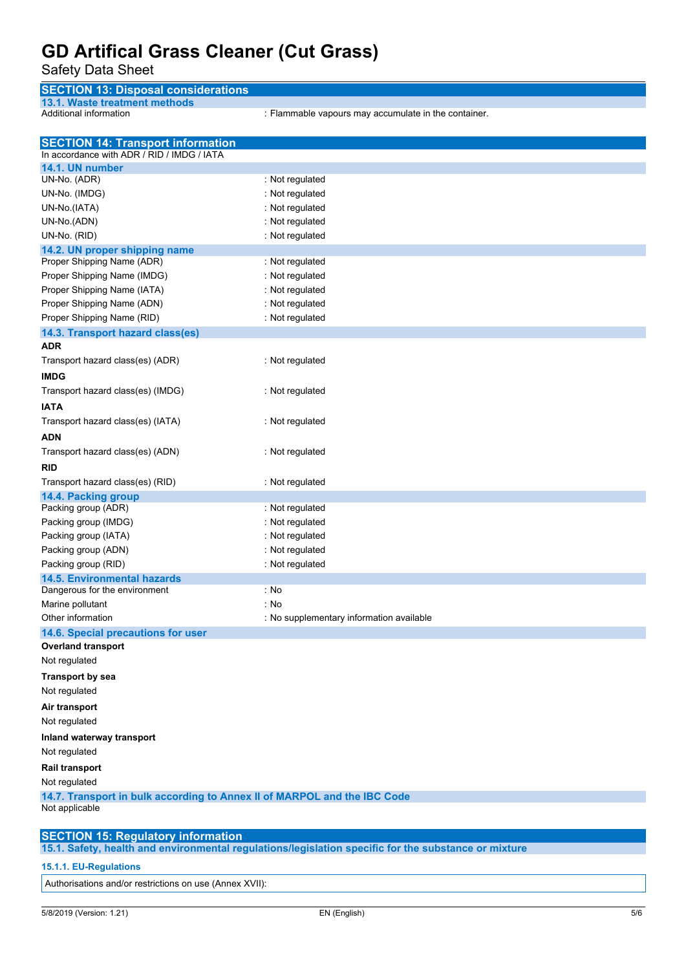### Safety Data Sheet

| <b>SECTION 13: Disposal considerations</b> |  |
|--------------------------------------------|--|
| 13.1. Waste treatment methods              |  |

Additional information : Flammable vapours may accumulate in the container.

| <b>SECTION 14: Transport information</b><br>In accordance with ADR / RID / IMDG / IATA |                                          |  |
|----------------------------------------------------------------------------------------|------------------------------------------|--|
| 14.1. UN number                                                                        |                                          |  |
| UN-No. (ADR)                                                                           | : Not regulated                          |  |
| UN-No. (IMDG)                                                                          | : Not regulated                          |  |
| UN-No.(IATA)                                                                           | : Not regulated                          |  |
| UN-No.(ADN)                                                                            | : Not regulated                          |  |
| UN-No. (RID)                                                                           | : Not regulated                          |  |
| 14.2. UN proper shipping name                                                          |                                          |  |
| Proper Shipping Name (ADR)                                                             | : Not regulated                          |  |
| Proper Shipping Name (IMDG)                                                            | : Not regulated                          |  |
| Proper Shipping Name (IATA)                                                            | : Not regulated                          |  |
| Proper Shipping Name (ADN)                                                             | : Not regulated                          |  |
| Proper Shipping Name (RID)                                                             | : Not regulated                          |  |
| 14.3. Transport hazard class(es)                                                       |                                          |  |
| <b>ADR</b>                                                                             |                                          |  |
| Transport hazard class(es) (ADR)                                                       | : Not regulated                          |  |
|                                                                                        |                                          |  |
| <b>IMDG</b>                                                                            |                                          |  |
| Transport hazard class(es) (IMDG)                                                      | : Not regulated                          |  |
| <b>IATA</b>                                                                            |                                          |  |
| Transport hazard class(es) (IATA)                                                      | : Not regulated                          |  |
| <b>ADN</b>                                                                             |                                          |  |
| Transport hazard class(es) (ADN)                                                       | : Not regulated                          |  |
| <b>RID</b>                                                                             |                                          |  |
| Transport hazard class(es) (RID)                                                       | : Not regulated                          |  |
| 14.4. Packing group                                                                    |                                          |  |
| Packing group (ADR)                                                                    | : Not regulated                          |  |
| Packing group (IMDG)                                                                   | : Not regulated                          |  |
| Packing group (IATA)                                                                   | : Not regulated                          |  |
| Packing group (ADN)                                                                    | : Not regulated                          |  |
| Packing group (RID)                                                                    | : Not regulated                          |  |
| <b>14.5. Environmental hazards</b>                                                     |                                          |  |
| Dangerous for the environment                                                          | : No                                     |  |
| Marine pollutant                                                                       | : No                                     |  |
| Other information                                                                      | : No supplementary information available |  |
| 14.6. Special precautions for user                                                     |                                          |  |
| <b>Overland transport</b>                                                              |                                          |  |
| Not regulated                                                                          |                                          |  |
| <b>Transport by sea</b>                                                                |                                          |  |
| Not regulated                                                                          |                                          |  |
| Air transport                                                                          |                                          |  |
| Not regulated                                                                          |                                          |  |
| Inland waterway transport                                                              |                                          |  |
| Not regulated                                                                          |                                          |  |
| <b>Rail transport</b>                                                                  |                                          |  |
| Not regulated                                                                          |                                          |  |
| 14.7. Transport in bulk according to Annex II of MARPOL and the IBC Code               |                                          |  |
| Not applicable                                                                         |                                          |  |
|                                                                                        |                                          |  |
| <b>SECTION 15: Regulatory information</b>                                              |                                          |  |

**15.1. Safety, health and environmental regulations/legislation specific for the substance or mixture**

#### **15.1.1. EU-Regulations**

Authorisations and/or restrictions on use (Annex XVII):